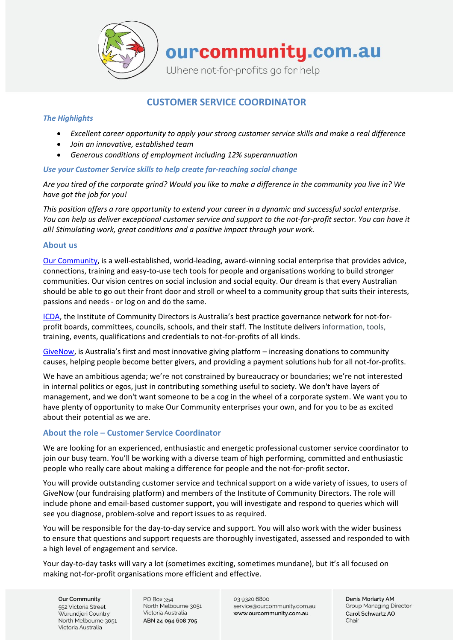

ourcommunity.com.au

Where not-for-profits go for help

# **CUSTOMER SERVICE COORDINATOR**

## *The Highlights*

- *Excellent career opportunity to apply your strong customer service skills and make a real difference*
- *Join an innovative, established team*
- *Generous conditions of employment including 12% superannuation*

# *Use your Customer Service skills to help create far-reaching social change*

*Are you tired of the corporate grind? Would you like to make a difference in the community you live in? We have got the job for you!*

*This position offers a rare opportunity to extend your career in a dynamic and successful social enterprise. You can help us deliver exceptional customer service and support to the not-for-profit sector. You can have it all! Stimulating work, great conditions and a positive impact through your work.* 

## **About us**

[Our Community](https://www.ourcommunity.com.au/), is a well-established, world-leading, award-winning social enterprise that provides advice, connections, training and easy-to-use tech tools for people and organisations working to build stronger communities. Our vision centres on social inclusion and social equity. Our dream is that every Australian should be able to go out their front door and stroll or wheel to a community group that suits their interests, passions and needs - or log on and do the same.

[ICDA,](https://communitydirectors.com.au/about) the Institute of Community Directors is Australia's best practice governance network for not-forprofit boards, committees, councils, schools, and their staff. The Institute delivers information, tools, training, events, qualifications and credentials to not-for-profits of all kinds.

[GiveNow,](https://www.givenow.com.au/) is Australia's first and most innovative giving platform – increasing donations to community causes, helping people become better givers, and providing a payment solutions hub for all not-for-profits.

We have an ambitious agenda; we're not constrained by bureaucracy or boundaries; we're not interested in internal politics or egos, just in contributing something useful to society. We don't have layers of management, and we don't want someone to be a cog in the wheel of a corporate system. We want you to have plenty of opportunity to make Our Community enterprises your own, and for you to be as excited about their potential as we are.

# **About the role – Customer Service Coordinator**

We are looking for an experienced, enthusiastic and energetic professional customer service coordinator to join our busy team. You'll be working with a diverse team of high performing, committed and enthusiastic people who really care about making a difference for people and the not-for-profit sector.

You will provide outstanding customer service and technical support on a wide variety of issues, to users of GiveNow (our fundraising platform) and members of the Institute of Community Directors. The role will include phone and email-based customer support, you will investigate and respond to queries which will see you diagnose, problem-solve and report issues to as required.

You will be responsible for the day-to-day service and support. You will also work with the wider business to ensure that questions and support requests are thoroughly investigated, assessed and responded to with a high level of engagement and service.

Your day-to-day tasks will vary a lot (sometimes exciting, sometimes mundane), but it's all focused on making not-for-profit organisations more efficient and effective.

**Our Community** 552 Victoria Street Wurundieri Country North Melbourne 3051 Victoria Australia

PO Box 354 North Melbourne 3051 Victoria Australia ABN 24 094 608 705

03 9320 6800 service@ourcommunity.com.au www.ourcommunity.com.au

Denis Moriarty AM **Group Managing Director** Carol Schwartz AO Chair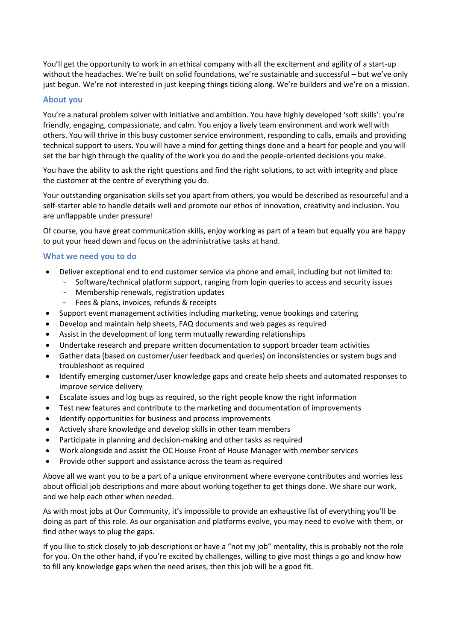You'll get the opportunity to work in an ethical company with all the excitement and agility of a start-up without the headaches. We're built on solid foundations, we're sustainable and successful – but we've only just begun. We're not interested in just keeping things ticking along. We're builders and we're on a mission.

# **About you**

You're a natural problem solver with initiative and ambition. You have highly developed 'soft skills': you're friendly, engaging, compassionate, and calm. You enjoy a lively team environment and work well with others. You will thrive in this busy customer service environment, responding to calls, emails and providing technical support to users. You will have a mind for getting things done and a heart for people and you will set the bar high through the quality of the work you do and the people-oriented decisions you make.

You have the ability to ask the right questions and find the right solutions, to act with integrity and place the customer at the centre of everything you do.

Your outstanding organisation skills set you apart from others, you would be described as resourceful and a self-starter able to handle details well and promote our ethos of innovation, creativity and inclusion. You are unflappable under pressure!

Of course, you have great communication skills, enjoy working as part of a team but equally you are happy to put your head down and focus on the administrative tasks at hand.

## **What we need you to do**

- Deliver exceptional end to end customer service via phone and email, including but not limited to:
	- $\sim$  Software/technical platform support, ranging from login queries to access and security issues
	- $\sim$  Membership renewals, registration updates
	- $\sim$  Fees & plans, invoices, refunds & receipts
- Support event management activities including marketing, venue bookings and catering
- Develop and maintain help sheets, FAQ documents and web pages as required
- Assist in the development of long term mutually rewarding relationships
- Undertake research and prepare written documentation to support broader team activities
- Gather data (based on customer/user feedback and queries) on inconsistencies or system bugs and troubleshoot as required
- Identify emerging customer/user knowledge gaps and create help sheets and automated responses to improve service delivery
- Escalate issues and log bugs as required, so the right people know the right information
- Test new features and contribute to the marketing and documentation of improvements
- Identify opportunities for business and process improvements
- Actively share knowledge and develop skills in other team members
- Participate in planning and decision-making and other tasks as required
- Work alongside and assist the OC House Front of House Manager with member services
- Provide other support and assistance across the team as required

Above all we want you to be a part of a unique environment where everyone contributes and worries less about official job descriptions and more about working together to get things done. We share our work, and we help each other when needed.

As with most jobs at Our Community, it's impossible to provide an exhaustive list of everything you'll be doing as part of this role. As our organisation and platforms evolve, you may need to evolve with them, or find other ways to plug the gaps.

If you like to stick closely to job descriptions or have a "not my job" mentality, this is probably not the role for you. On the other hand, if you're excited by challenges, willing to give most things a go and know how to fill any knowledge gaps when the need arises, then this job will be a good fit.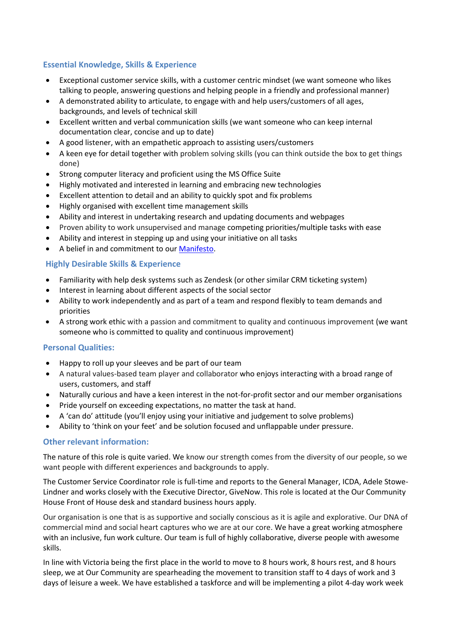# **Essential Knowledge, Skills & Experience**

- Exceptional customer service skills, with a customer centric mindset (we want someone who likes talking to people, answering questions and helping people in a friendly and professional manner)
- A demonstrated ability to articulate, to engage with and help users/customers of all ages, backgrounds, and levels of technical skill
- Excellent written and verbal communication skills (we want someone who can keep internal documentation clear, concise and up to date)
- A good listener, with an empathetic approach to assisting users/customers
- A keen eye for detail together with problem solving skills (you can think outside the box to get things done)
- Strong computer literacy and proficient using the MS Office Suite
- Highly motivated and interested in learning and embracing new technologies
- Excellent attention to detail and an ability to quickly spot and fix problems
- Highly organised with excellent time management skills
- Ability and interest in undertaking research and updating documents and webpages
- Proven ability to work unsupervised and manage competing priorities/multiple tasks with ease
- Ability and interest in stepping up and using your initiative on all tasks
- A belief in and commitment to our [Manifesto.](http://www.ourcommunity.com.au/files/community_manifesto.pdf)

## **Highly Desirable Skills & Experience**

- Familiarity with help desk systems such as Zendesk (or other similar CRM ticketing system)
- Interest in learning about different aspects of the social sector
- Ability to work independently and as part of a team and respond flexibly to team demands and priorities
- A strong work ethic with a passion and commitment to quality and continuous improvement (we want someone who is committed to quality and continuous improvement)

#### **Personal Qualities:**

- Happy to roll up your sleeves and be part of our team
- A natural values-based team player and collaborator who enjoys interacting with a broad range of users, customers, and staff
- Naturally curious and have a keen interest in the not-for-profit sector and our member organisations
- Pride yourself on exceeding expectations, no matter the task at hand.
- A 'can do' attitude (you'll enjoy using your initiative and judgement to solve problems)
- Ability to 'think on your feet' and be solution focused and unflappable under pressure.

#### **Other relevant information:**

The nature of this role is quite varied. We know our strength comes from the diversity of our people, so we want people with different experiences and backgrounds to apply.

The Customer Service Coordinator role is full-time and reports to the General Manager, ICDA, Adele Stowe-Lindner and works closely with the Executive Director, GiveNow. This role is located at the Our Community House Front of House desk and standard business hours apply.

Our organisation is one that is as supportive and socially conscious as it is agile and explorative. Our DNA of commercial mind and social heart captures who we are at our core. We have a great working atmosphere with an inclusive, fun work culture. Our team is full of highly collaborative, diverse people with awesome skills.

In line with Victoria being the first place in the world to move to 8 hours work, 8 hours rest, and 8 hours sleep, we at Our Community are spearheading the movement to transition staff to 4 days of work and 3 days of leisure a week. We have established a taskforce and will be implementing a pilot 4-day work week